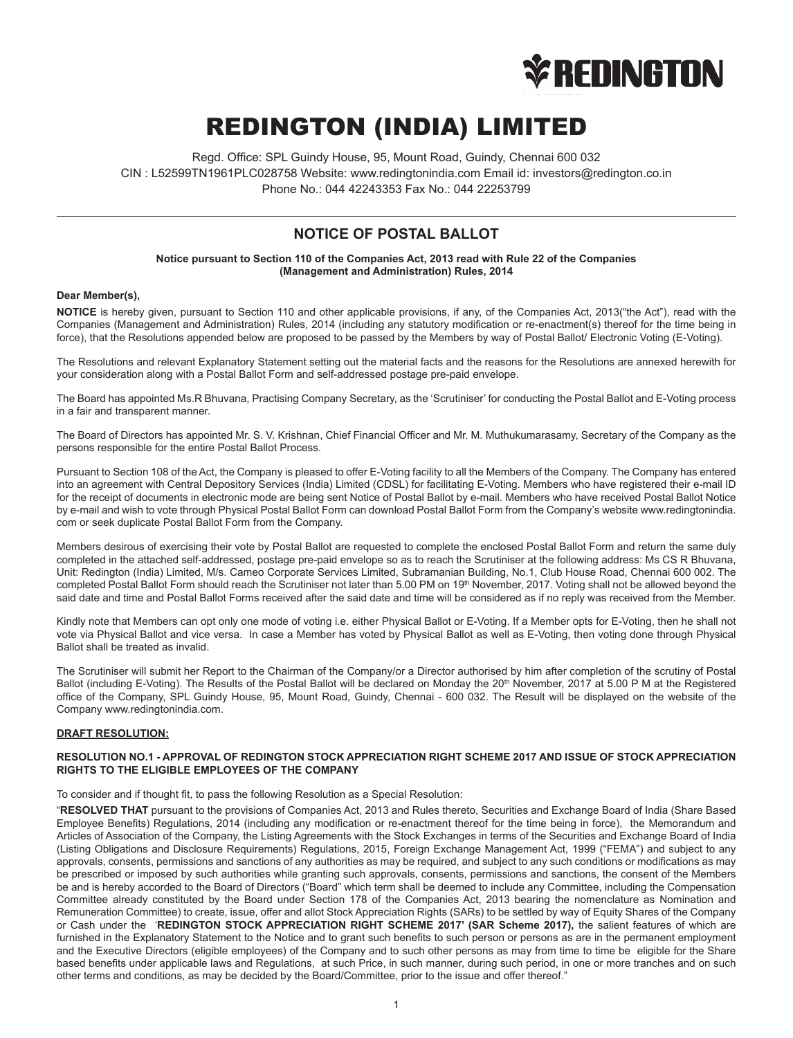

# REDINGTON (INDIA) LIMITED

Regd. Office: SPL Guindy House, 95, Mount Road, Guindy, Chennai 600 032 CIN : L52599TN1961PLC028758 Website: www.redingtonindia.com Email id: investors@redington.co.in Phone No.: 044 42243353 Fax No.: 044 22253799

# **NOTICE OF POSTAL BALLOT**

**Notice pursuant to Section 110 of the Companies Act, 2013 read with Rule 22 of the Companies (Management and Administration) Rules, 2014**

# **Dear Member(s),**

**NOTICE** is hereby given, pursuant to Section 110 and other applicable provisions, if any, of the Companies Act, 2013("the Act"), read with the Companies (Management and Administration) Rules, 2014 (including any statutory modification or re-enactment(s) thereof for the time being in force), that the Resolutions appended below are proposed to be passed by the Members by way of Postal Ballot/ Electronic Voting (E-Voting).

The Resolutions and relevant Explanatory Statement setting out the material facts and the reasons for the Resolutions are annexed herewith for your consideration along with a Postal Ballot Form and self-addressed postage pre-paid envelope.

The Board has appointed Ms.R Bhuvana, Practising Company Secretary, as the 'Scrutiniser' for conducting the Postal Ballot and E-Voting process in a fair and transparent manner.

The Board of Directors has appointed Mr. S. V. Krishnan, Chief Financial Officer and Mr. M. Muthukumarasamy, Secretary of the Company as the persons responsible for the entire Postal Ballot Process.

Pursuant to Section 108 of the Act, the Company is pleased to offer E-Voting facility to all the Members of the Company. The Company has entered into an agreement with Central Depository Services (India) Limited (CDSL) for facilitating E-Voting. Members who have registered their e-mail ID for the receipt of documents in electronic mode are being sent Notice of Postal Ballot by e-mail. Members who have received Postal Ballot Notice by e-mail and wish to vote through Physical Postal Ballot Form can download Postal Ballot Form from the Company's website www.redingtonindia. com or seek duplicate Postal Ballot Form from the Company.

Members desirous of exercising their vote by Postal Ballot are requested to complete the enclosed Postal Ballot Form and return the same duly completed in the attached self-addressed, postage pre-paid envelope so as to reach the Scrutiniser at the following address: Ms CS R Bhuvana, Unit: Redington (India) Limited, M/s. Cameo Corporate Services Limited, Subramanian Building, No.1, Club House Road, Chennai 600 002. The completed Postal Ballot Form should reach the Scrutiniser not later than 5.00 PM on 19<sup>th</sup> November, 2017. Voting shall not be allowed beyond the said date and time and Postal Ballot Forms received after the said date and time will be considered as if no reply was received from the Member.

Kindly note that Members can opt only one mode of voting i.e. either Physical Ballot or E-Voting. If a Member opts for E-Voting, then he shall not vote via Physical Ballot and vice versa. In case a Member has voted by Physical Ballot as well as E-Voting, then voting done through Physical Ballot shall be treated as invalid.

The Scrutiniser will submit her Report to the Chairman of the Company/or a Director authorised by him after completion of the scrutiny of Postal Ballot (including E-Voting). The Results of the Postal Ballot will be declared on Monday the 20<sup>th</sup> November, 2017 at 5.00 P M at the Registered office of the Company, SPL Guindy House, 95, Mount Road, Guindy, Chennai - 600 032. The Result will be displayed on the website of the Company www.redingtonindia.com.

# **DRAFT RESOLUTION:**

#### **RESOLUTION NO.1 - APPROVAL OF REDINGTON STOCK APPRECIATION RIGHT SCHEME 2017 AND ISSUE OF STOCK APPRECIATION RIGHTS TO THE ELIGIBLE EMPLOYEES OF THE COMPANY**

To consider and if thought fit, to pass the following Resolution as a Special Resolution:

"**RESOLVED THAT** pursuant to the provisions of Companies Act, 2013 and Rules thereto, Securities and Exchange Board of India (Share Based Employee Benefits) Regulations, 2014 (including any modification or re-enactment thereof for the time being in force), the Memorandum and Articles of Association of the Company, the Listing Agreements with the Stock Exchanges in terms of the Securities and Exchange Board of India (Listing Obligations and Disclosure Requirements) Regulations, 2015, Foreign Exchange Management Act, 1999 ("FEMA") and subject to any approvals, consents, permissions and sanctions of any authorities as may be required, and subject to any such conditions or modifications as may be prescribed or imposed by such authorities while granting such approvals, consents, permissions and sanctions, the consent of the Members be and is hereby accorded to the Board of Directors ("Board" which term shall be deemed to include any Committee, including the Compensation Committee already constituted by the Board under Section 178 of the Companies Act, 2013 bearing the nomenclature as Nomination and Remuneration Committee) to create, issue, offer and allot Stock Appreciation Rights (SARs) to be settled by way of Equity Shares of the Company or Cash under the '**REDINGTON STOCK APPRECIATION RIGHT SCHEME 2017' (SAR Scheme 2017),** the salient features of which are furnished in the Explanatory Statement to the Notice and to grant such benefits to such person or persons as are in the permanent employment and the Executive Directors (eligible employees) of the Company and to such other persons as may from time to time be eligible for the Share based benefits under applicable laws and Regulations, at such Price, in such manner, during such period, in one or more tranches and on such other terms and conditions, as may be decided by the Board/Committee, prior to the issue and offer thereof."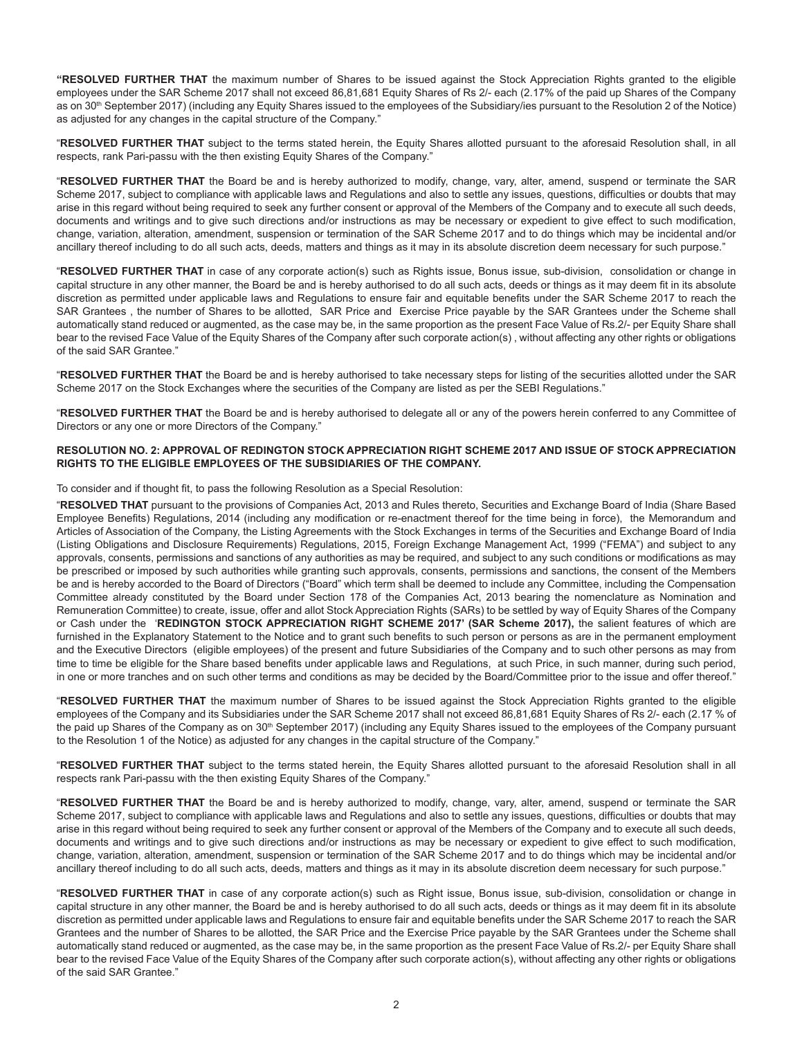**"RESOLVED FURTHER THAT** the maximum number of Shares to be issued against the Stock Appreciation Rights granted to the eligible employees under the SAR Scheme 2017 shall not exceed 86,81,681 Equity Shares of Rs 2/- each (2.17% of the paid up Shares of the Company as on 30<sup>th</sup> September 2017) (including any Equity Shares issued to the employees of the Subsidiary/ies pursuant to the Resolution 2 of the Notice) as adjusted for any changes in the capital structure of the Company."

"**RESOLVED FURTHER THAT** subject to the terms stated herein, the Equity Shares allotted pursuant to the aforesaid Resolution shall, in all respects, rank Pari-passu with the then existing Equity Shares of the Company."

"**RESOLVED FURTHER THAT** the Board be and is hereby authorized to modify, change, vary, alter, amend, suspend or terminate the SAR Scheme 2017, subject to compliance with applicable laws and Regulations and also to settle any issues, questions, difficulties or doubts that may arise in this regard without being required to seek any further consent or approval of the Members of the Company and to execute all such deeds, documents and writings and to give such directions and/or instructions as may be necessary or expedient to give effect to such modification, change, variation, alteration, amendment, suspension or termination of the SAR Scheme 2017 and to do things which may be incidental and/or ancillary thereof including to do all such acts, deeds, matters and things as it may in its absolute discretion deem necessary for such purpose."

"**RESOLVED FURTHER THAT** in case of any corporate action(s) such as Rights issue, Bonus issue, sub-division, consolidation or change in capital structure in any other manner, the Board be and is hereby authorised to do all such acts, deeds or things as it may deem fit in its absolute discretion as permitted under applicable laws and Regulations to ensure fair and equitable benefits under the SAR Scheme 2017 to reach the SAR Grantees , the number of Shares to be allotted, SAR Price and Exercise Price payable by the SAR Grantees under the Scheme shall automatically stand reduced or augmented, as the case may be, in the same proportion as the present Face Value of Rs.2/- per Equity Share shall bear to the revised Face Value of the Equity Shares of the Company after such corporate action(s) , without affecting any other rights or obligations of the said SAR Grantee."

"**RESOLVED FURTHER THAT** the Board be and is hereby authorised to take necessary steps for listing of the securities allotted under the SAR Scheme 2017 on the Stock Exchanges where the securities of the Company are listed as per the SEBI Regulations."

"**RESOLVED FURTHER THAT** the Board be and is hereby authorised to delegate all or any of the powers herein conferred to any Committee of Directors or any one or more Directors of the Company."

# **RESOLUTION NO. 2: APPROVAL OF REDINGTON STOCK APPRECIATION RIGHT SCHEME 2017 AND ISSUE OF STOCK APPRECIATION RIGHTS TO THE ELIGIBLE EMPLOYEES OF THE SUBSIDIARIES OF THE COMPANY.**

To consider and if thought fit, to pass the following Resolution as a Special Resolution:

"**RESOLVED THAT** pursuant to the provisions of Companies Act, 2013 and Rules thereto, Securities and Exchange Board of India (Share Based Employee Benefits) Regulations, 2014 (including any modification or re-enactment thereof for the time being in force), the Memorandum and Articles of Association of the Company, the Listing Agreements with the Stock Exchanges in terms of the Securities and Exchange Board of India (Listing Obligations and Disclosure Requirements) Regulations, 2015, Foreign Exchange Management Act, 1999 ("FEMA") and subject to any approvals, consents, permissions and sanctions of any authorities as may be required, and subject to any such conditions or modifications as may be prescribed or imposed by such authorities while granting such approvals, consents, permissions and sanctions, the consent of the Members be and is hereby accorded to the Board of Directors ("Board" which term shall be deemed to include any Committee, including the Compensation Committee already constituted by the Board under Section 178 of the Companies Act, 2013 bearing the nomenclature as Nomination and Remuneration Committee) to create, issue, offer and allot Stock Appreciation Rights (SARs) to be settled by way of Equity Shares of the Company or Cash under the '**REDINGTON STOCK APPRECIATION RIGHT SCHEME 2017' (SAR Scheme 2017),** the salient features of which are furnished in the Explanatory Statement to the Notice and to grant such benefits to such person or persons as are in the permanent employment and the Executive Directors (eligible employees) of the present and future Subsidiaries of the Company and to such other persons as may from time to time be eligible for the Share based benefits under applicable laws and Regulations, at such Price, in such manner, during such period, in one or more tranches and on such other terms and conditions as may be decided by the Board/Committee prior to the issue and offer thereof."

"**RESOLVED FURTHER THAT** the maximum number of Shares to be issued against the Stock Appreciation Rights granted to the eligible employees of the Company and its Subsidiaries under the SAR Scheme 2017 shall not exceed 86,81,681 Equity Shares of Rs 2/- each (2.17 % of the paid up Shares of the Company as on 30<sup>th</sup> September 2017) (including any Equity Shares issued to the employees of the Company pursuant to the Resolution 1 of the Notice) as adjusted for any changes in the capital structure of the Company."

"**RESOLVED FURTHER THAT** subject to the terms stated herein, the Equity Shares allotted pursuant to the aforesaid Resolution shall in all respects rank Pari-passu with the then existing Equity Shares of the Company."

"**RESOLVED FURTHER THAT** the Board be and is hereby authorized to modify, change, vary, alter, amend, suspend or terminate the SAR Scheme 2017, subject to compliance with applicable laws and Regulations and also to settle any issues, questions, difficulties or doubts that may arise in this regard without being required to seek any further consent or approval of the Members of the Company and to execute all such deeds, documents and writings and to give such directions and/or instructions as may be necessary or expedient to give effect to such modification, change, variation, alteration, amendment, suspension or termination of the SAR Scheme 2017 and to do things which may be incidental and/or ancillary thereof including to do all such acts, deeds, matters and things as it may in its absolute discretion deem necessary for such purpose."

"**RESOLVED FURTHER THAT** in case of any corporate action(s) such as Right issue, Bonus issue, sub-division, consolidation or change in capital structure in any other manner, the Board be and is hereby authorised to do all such acts, deeds or things as it may deem fit in its absolute discretion as permitted under applicable laws and Regulations to ensure fair and equitable benefits under the SAR Scheme 2017 to reach the SAR Grantees and the number of Shares to be allotted, the SAR Price and the Exercise Price payable by the SAR Grantees under the Scheme shall automatically stand reduced or augmented, as the case may be, in the same proportion as the present Face Value of Rs.2/- per Equity Share shall bear to the revised Face Value of the Equity Shares of the Company after such corporate action(s), without affecting any other rights or obligations of the said SAR Grantee."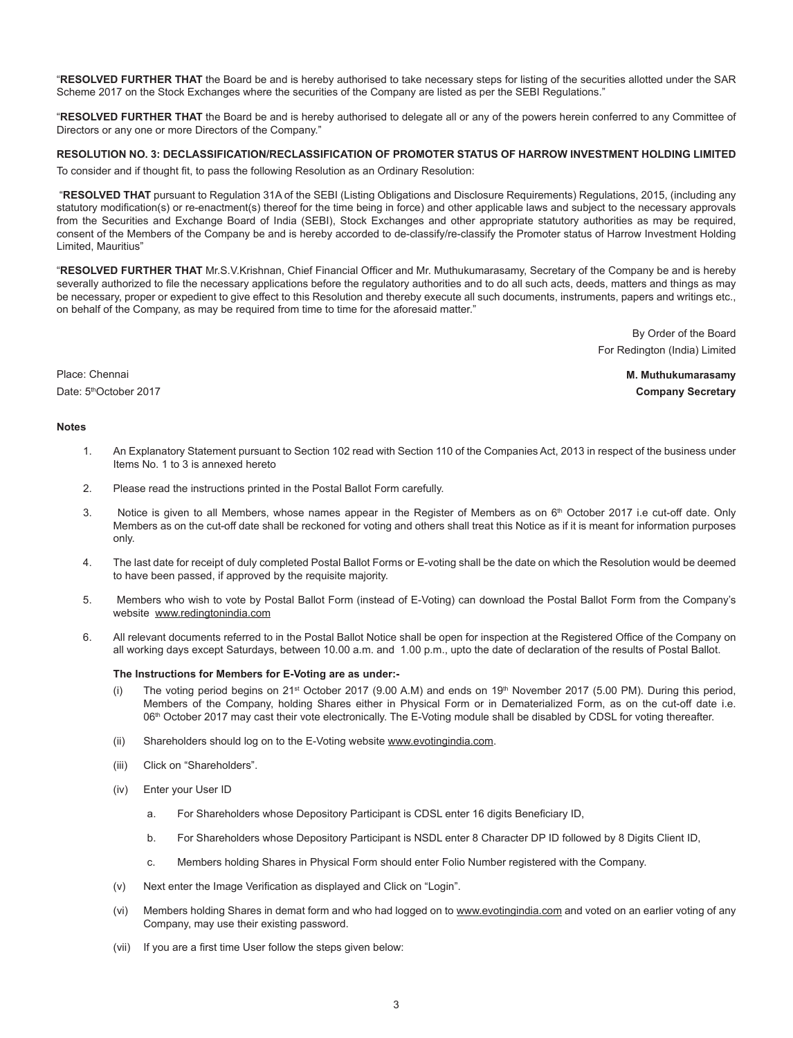"**RESOLVED FURTHER THAT** the Board be and is hereby authorised to take necessary steps for listing of the securities allotted under the SAR Scheme 2017 on the Stock Exchanges where the securities of the Company are listed as per the SEBI Regulations."

"**RESOLVED FURTHER THAT** the Board be and is hereby authorised to delegate all or any of the powers herein conferred to any Committee of Directors or any one or more Directors of the Company."

# **RESOLUTION NO. 3: DECLASSIFICATION/RECLASSIFICATION OF PROMOTER STATUS OF HARROW INVESTMENT HOLDING LIMITED**

To consider and if thought fit, to pass the following Resolution as an Ordinary Resolution:

 "**RESOLVED THAT** pursuant to Regulation 31A of the SEBI (Listing Obligations and Disclosure Requirements) Regulations, 2015, (including any statutory modification(s) or re-enactment(s) thereof for the time being in force) and other applicable laws and subject to the necessary approvals from the Securities and Exchange Board of India (SEBI), Stock Exchanges and other appropriate statutory authorities as may be required, consent of the Members of the Company be and is hereby accorded to de-classify/re-classify the Promoter status of Harrow Investment Holding Limited, Mauritius"

"**RESOLVED FURTHER THAT** Mr.S.V.Krishnan, Chief Financial Officer and Mr. Muthukumarasamy, Secretary of the Company be and is hereby severally authorized to file the necessary applications before the requlatory authorities and to do all such acts, deeds, matters and things as may be necessary, proper or expedient to give effect to this Resolution and thereby execute all such documents, instruments, papers and writings etc., on behalf of the Company, as may be required from time to time for the aforesaid matter."

> By Order of the Board For Redington (India) Limited

Place: Chennai **M. Muthukumarasamy** Date: 5thOctober 2017 **Company Secretary**

# **Notes**

- 1. An Explanatory Statement pursuant to Section 102 read with Section 110 of the Companies Act, 2013 in respect of the business under Items No. 1 to 3 is annexed hereto
- 2. Please read the instructions printed in the Postal Ballot Form carefully.
- 3. Notice is given to all Members, whose names appear in the Register of Members as on 6<sup>th</sup> October 2017 i.e cut-off date. Only Members as on the cut-off date shall be reckoned for voting and others shall treat this Notice as if it is meant for information purposes only.
- 4. The last date for receipt of duly completed Postal Ballot Forms or E-voting shall be the date on which the Resolution would be deemed to have been passed, if approved by the requisite majority.
- 5. Members who wish to vote by Postal Ballot Form (instead of E-Voting) can download the Postal Ballot Form from the Company's website www.redingtonindia.com
- 6. All relevant documents referred to in the Postal Ballot Notice shall be open for inspection at the Registered Office of the Company on all working days except Saturdays, between 10.00 a.m. and 1.00 p.m., upto the date of declaration of the results of Postal Ballot.

# **The Instructions for Members for E-Voting are as under:-**

- (i) The voting period begins on 21<sup>st</sup> October 2017 (9.00 A.M) and ends on  $19<sup>th</sup>$  November 2017 (5.00 PM). During this period, Members of the Company, holding Shares either in Physical Form or in Dematerialized Form, as on the cut-off date i.e. 06th October 2017 may cast their vote electronically. The E-Voting module shall be disabled by CDSL for voting thereafter.
- (ii) Shareholders should log on to the E-Voting website www.evotingindia.com.
- (iii) Click on "Shareholders".
- (iv) Enter your User ID
	- a. For Shareholders whose Depository Participant is CDSL enter 16 digits Beneficiary ID,
	- b. For Shareholders whose Depository Participant is NSDL enter 8 Character DP ID followed by 8 Digits Client ID,
	- c. Members holding Shares in Physical Form should enter Folio Number registered with the Company.
- (v) Next enter the Image Verification as displayed and Click on "Login".
- (vi) Members holding Shares in demat form and who had logged on to www.evotingindia.com and voted on an earlier voting of any Company, may use their existing password.
- (vii) If you are a first time User follow the steps given below: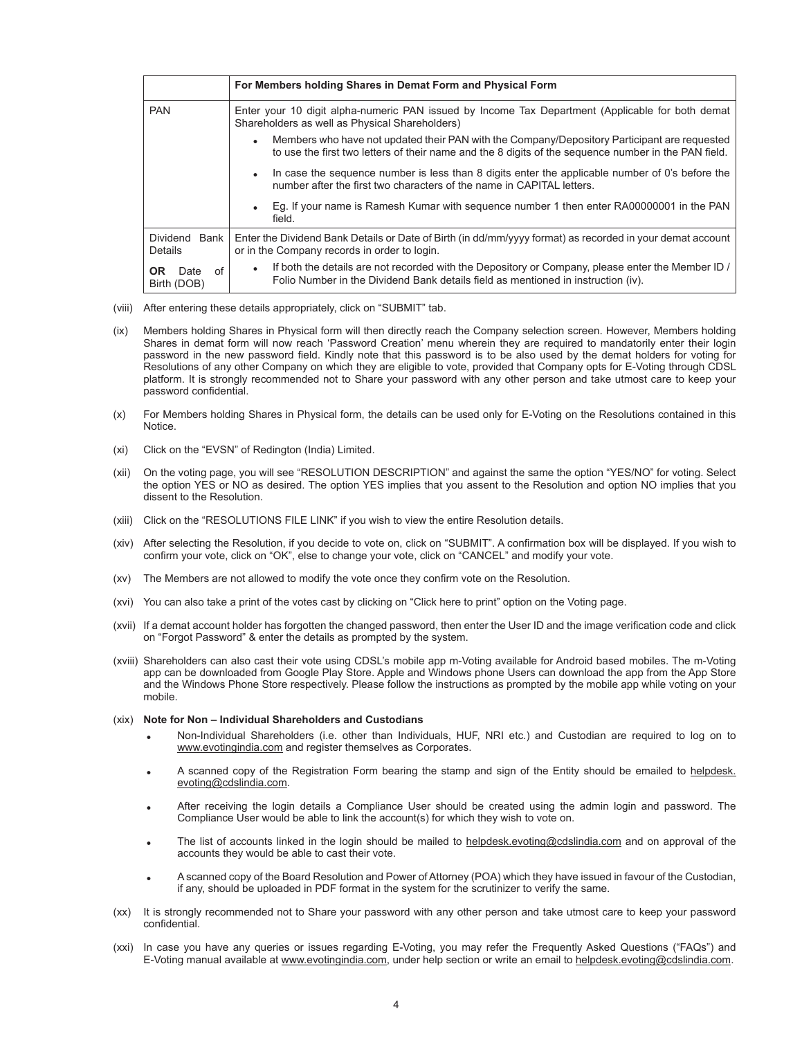|                                  | For Members holding Shares in Demat Form and Physical Form                                                                                                                                                |
|----------------------------------|-----------------------------------------------------------------------------------------------------------------------------------------------------------------------------------------------------------|
| <b>PAN</b>                       | Enter your 10 digit alpha-numeric PAN issued by Income Tax Department (Applicable for both demat<br>Shareholders as well as Physical Shareholders)                                                        |
|                                  | Members who have not updated their PAN with the Company/Depository Participant are requested<br>٠<br>to use the first two letters of their name and the 8 digits of the sequence number in the PAN field. |
|                                  | In case the sequence number is less than 8 digits enter the applicable number of 0's before the<br>number after the first two characters of the name in CAPITAL letters.                                  |
|                                  | Eq. If your name is Ramesh Kumar with sequence number 1 then enter RA00000001 in the PAN<br>field.                                                                                                        |
| Dividend<br>Bank<br>Details      | Enter the Dividend Bank Details or Date of Birth (in dd/mm/yyyy format) as recorded in your demat account<br>or in the Company records in order to login.                                                 |
| OR.<br>Date<br>of<br>Birth (DOB) | If both the details are not recorded with the Depository or Company, please enter the Member ID /<br>٠<br>Folio Number in the Dividend Bank details field as mentioned in instruction (iv).               |

- (viii) After entering these details appropriately, click on "SUBMIT" tab.
- (ix) Members holding Shares in Physical form will then directly reach the Company selection screen. However, Members holding Shares in demat form will now reach 'Password Creation' menu wherein they are required to mandatorily enter their login password in the new password field. Kindly note that this password is to be also used by the demat holders for voting for Resolutions of any other Company on which they are eligible to vote, provided that Company opts for E-Voting through CDSL platform. It is strongly recommended not to Share your password with any other person and take utmost care to keep your password confidential.
- (x) For Members holding Shares in Physical form, the details can be used only for E-Voting on the Resolutions contained in this **Notice**
- (xi) Click on the "EVSN" of Redington (India) Limited.
- (xii) On the voting page, you will see "RESOLUTION DESCRIPTION" and against the same the option "YES/NO" for voting. Select the option YES or NO as desired. The option YES implies that you assent to the Resolution and option NO implies that you dissent to the Resolution.
- (xiii) Click on the "RESOLUTIONS FILE LINK" if you wish to view the entire Resolution details.
- (xiv) After selecting the Resolution, if you decide to vote on, click on "SUBMIT". A confirmation box will be displayed. If you wish to confirm your vote, click on "OK", else to change your vote, click on "CANCEL" and modify your vote.
- (xv) The Members are not allowed to modify the vote once they confirm vote on the Resolution.
- (xvi) You can also take a print of the votes cast by clicking on "Click here to print" option on the Voting page.
- (xvii) If a demat account holder has forgotten the changed password, then enter the User ID and the image verification code and click on "Forgot Password" & enter the details as prompted by the system.
- (xviii) Shareholders can also cast their vote using CDSL's mobile app m-Voting available for Android based mobiles. The m-Voting app can be downloaded from Google Play Store. Apple and Windows phone Users can download the app from the App Store and the Windows Phone Store respectively. Please follow the instructions as prompted by the mobile app while voting on your mobile.

#### (xix) **Note for Non – Individual Shareholders and Custodians**

- Non-Individual Shareholders (i.e. other than Individuals, HUF, NRI etc.) and Custodian are required to log on to www.evotingindia.com and register themselves as Corporates.
- A scanned copy of the Registration Form bearing the stamp and sign of the Entity should be emailed to helpdesk. evoting@cdslindia.com.
- ! After receiving the login details a Compliance User should be created using the admin login and password. The Compliance User would be able to link the account(s) for which they wish to vote on.
- The list of accounts linked in the login should be mailed to helpdesk.evoting@cdslindia.com and on approval of the accounts they would be able to cast their vote.
- A scanned copy of the Board Resolution and Power of Attorney (POA) which they have issued in favour of the Custodian, if any, should be uploaded in PDF format in the system for the scrutinizer to verify the same.
- (xx) It is strongly recommended not to Share your password with any other person and take utmost care to keep your password confidential.
- (xxi) In case you have any queries or issues regarding E-Voting, you may refer the Frequently Asked Questions ("FAQs") and E-Voting manual available at www.evotingindia.com, under help section or write an email to helpdesk.evoting@cdslindia.com.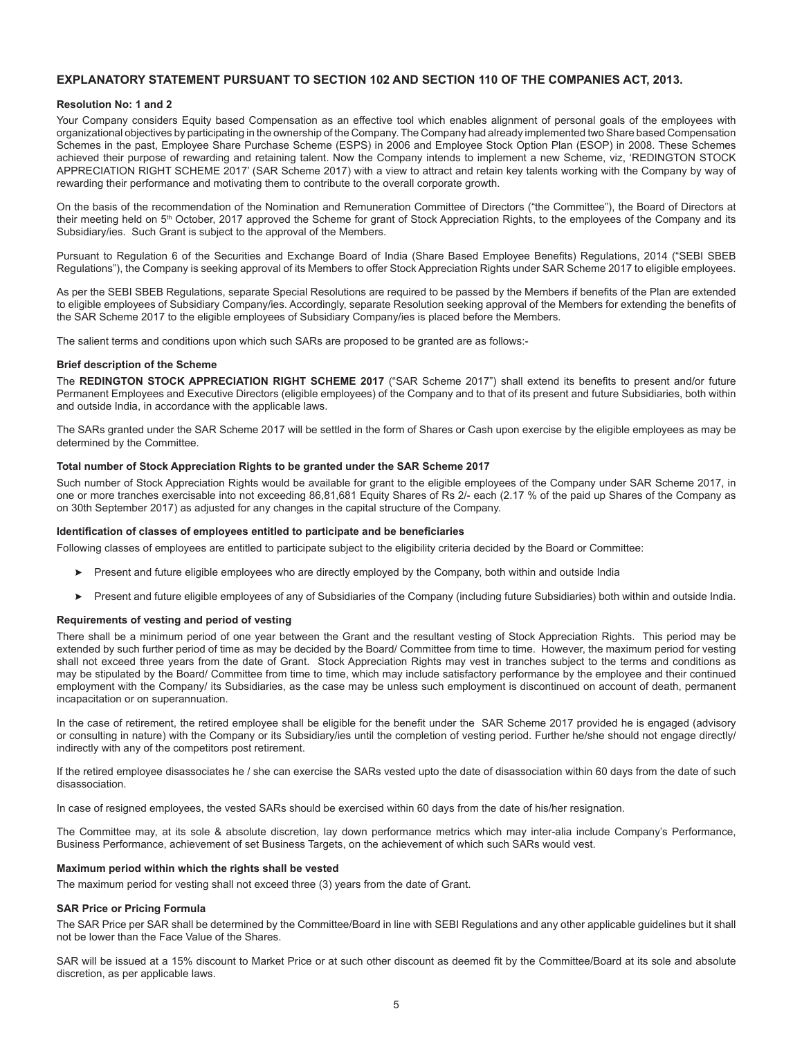# **EXPLANATORY STATEMENT PURSUANT TO SECTION 102 AND SECTION 110 OF THE COMPANIES ACT, 2013.**

# **Resolution No: 1 and 2**

Your Company considers Equity based Compensation as an effective tool which enables alignment of personal goals of the employees with organizational objectives by participating in the ownership of the Company. The Company had already implemented two Share based Compensation Schemes in the past, Employee Share Purchase Scheme (ESPS) in 2006 and Employee Stock Option Plan (ESOP) in 2008. These Schemes achieved their purpose of rewarding and retaining talent. Now the Company intends to implement a new Scheme, viz, 'REDINGTON STOCK APPRECIATION RIGHT SCHEME 2017' (SAR Scheme 2017) with a view to attract and retain key talents working with the Company by way of rewarding their performance and motivating them to contribute to the overall corporate growth.

On the basis of the recommendation of the Nomination and Remuneration Committee of Directors ("the Committee"), the Board of Directors at their meeting held on 5<sup>th</sup> October, 2017 approved the Scheme for grant of Stock Appreciation Rights, to the employees of the Company and its Subsidiary/ies. Such Grant is subject to the approval of the Members.

Pursuant to Regulation 6 of the Securities and Exchange Board of India (Share Based Employee Benefits) Regulations, 2014 ("SEBI SBEB Regulations"), the Company is seeking approval of its Members to offer Stock Appreciation Rights under SAR Scheme 2017 to eligible employees.

As per the SEBI SBEB Regulations, separate Special Resolutions are required to be passed by the Members if benefits of the Plan are extended to eligible employees of Subsidiary Company/ies. Accordingly, separate Resolution seeking approval of the Members for extending the benefits of the SAR Scheme 2017 to the eligible employees of Subsidiary Company/ies is placed before the Members.

The salient terms and conditions upon which such SARs are proposed to be granted are as follows:-

#### **Brief description of the Scheme**

The **REDINGTON STOCK APPRECIATION RIGHT SCHEME 2017** ("SAR Scheme 2017") shall extend its benefits to present and/or future Permanent Employees and Executive Directors (eligible employees) of the Company and to that of its present and future Subsidiaries, both within and outside India, in accordance with the applicable laws.

The SARs granted under the SAR Scheme 2017 will be settled in the form of Shares or Cash upon exercise by the eligible employees as may be determined by the Committee.

#### **Total number of Stock Appreciation Rights to be granted under the SAR Scheme 2017**

Such number of Stock Appreciation Rights would be available for grant to the eligible employees of the Company under SAR Scheme 2017, in one or more tranches exercisable into not exceeding 86,81,681 Equity Shares of Rs 2/- each (2.17 % of the paid up Shares of the Company as on 30th September 2017) as adjusted for any changes in the capital structure of the Company.

#### **Identification of classes of employees entitled to participate and be beneficiaries**

Following classes of employees are entitled to participate subject to the eligibility criteria decided by the Board or Committee:

- **EXECTE A** Present and future eligible employees who are directly employed by the Company, both within and outside India
- > Present and future eligible employees of any of Subsidiaries of the Company (including future Subsidiaries) both within and outside India.

#### **Requirements of vesting and period of vesting**

There shall be a minimum period of one year between the Grant and the resultant vesting of Stock Appreciation Rights. This period may be extended by such further period of time as may be decided by the Board/ Committee from time to time. However, the maximum period for vesting shall not exceed three years from the date of Grant. Stock Appreciation Rights may vest in tranches subject to the terms and conditions as may be stipulated by the Board/ Committee from time to time, which may include satisfactory performance by the employee and their continued employment with the Company/ its Subsidiaries, as the case may be unless such employment is discontinued on account of death, permanent incapacitation or on superannuation.

In the case of retirement, the retired employee shall be eligible for the benefit under the SAR Scheme 2017 provided he is engaged (advisory or consulting in nature) with the Company or its Subsidiary/ies until the completion of vesting period. Further he/she should not engage directly/ indirectly with any of the competitors post retirement.

If the retired employee disassociates he / she can exercise the SARs vested upto the date of disassociation within 60 days from the date of such disassociation.

In case of resigned employees, the vested SARs should be exercised within 60 days from the date of his/her resignation.

The Committee may, at its sole & absolute discretion, lay down performance metrics which may inter-alia include Company's Performance, Business Performance, achievement of set Business Targets, on the achievement of which such SARs would vest.

# **Maximum period within which the rights shall be vested**

The maximum period for vesting shall not exceed three (3) years from the date of Grant.

# **SAR Price or Pricing Formula**

The SAR Price per SAR shall be determined by the Committee/Board in line with SEBI Regulations and any other applicable guidelines but it shall not be lower than the Face Value of the Shares.

SAR will be issued at a 15% discount to Market Price or at such other discount as deemed fit by the Committee/Board at its sole and absolute discretion, as per applicable laws.